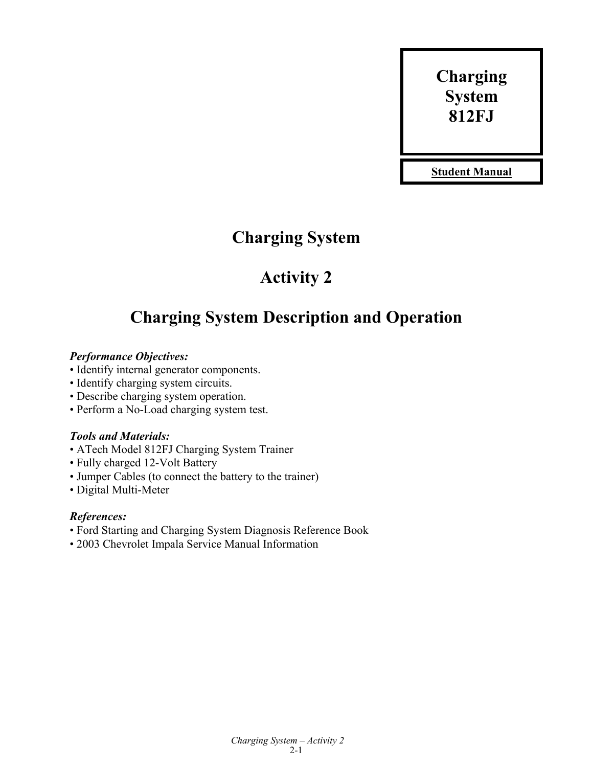

**Student Manual**

# **Charging System**

# **Activity 2**

# **Charging System Description and Operation**

### *Performance Objectives:*

- Identify internal generator components.
- Identify charging system circuits.
- Describe charging system operation.
- Perform a No-Load charging system test.

### *Tools and Materials:*

- ATech Model 812FJ Charging System Trainer
- Fully charged 12-Volt Battery
- Jumper Cables (to connect the battery to the trainer)
- Digital Multi-Meter

### *References:*

- Ford Starting and Charging System Diagnosis Reference Book
- 2003 Chevrolet Impala Service Manual Information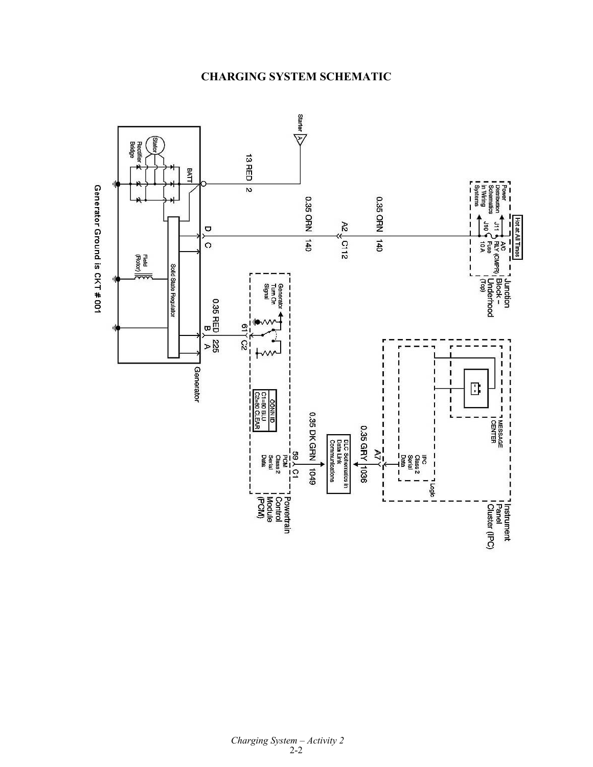

### **CHARGING SYSTEM SCHEMATIC**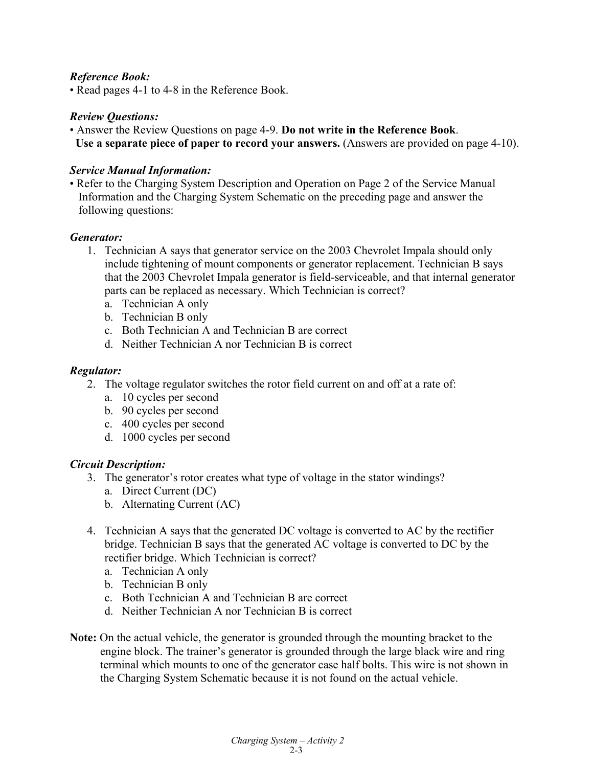#### *Reference Book:*

• Read pages 4-1 to 4-8 in the Reference Book.

#### *Review Questions:*

• Answer the Review Questions on page 4-9. **Do not write in the Reference Book**. **Use a separate piece of paper to record your answers.** (Answers are provided on page 4-10).

#### *Service Manual Information:*

• Refer to the Charging System Description and Operation on Page 2 of the Service Manual Information and the Charging System Schematic on the preceding page and answer the following questions:

#### *Generator:*

- 1. Technician A says that generator service on the 2003 Chevrolet Impala should only include tightening of mount components or generator replacement. Technician B says that the 2003 Chevrolet Impala generator is field-serviceable, and that internal generator parts can be replaced as necessary. Which Technician is correct?
	- a. Technician A only
	- b. Technician B only
	- c. Both Technician A and Technician B are correct
	- d. Neither Technician A nor Technician B is correct

#### *Regulator:*

- 2. The voltage regulator switches the rotor field current on and off at a rate of:
	- a. 10 cycles per second
	- b. 90 cycles per second
	- c. 400 cycles per second
	- d. 1000 cycles per second

#### *Circuit Description:*

- 3. The generator's rotor creates what type of voltage in the stator windings?
	- a. Direct Current (DC)
	- b. Alternating Current (AC)
- 4. Technician A says that the generated DC voltage is converted to AC by the rectifier bridge. Technician B says that the generated AC voltage is converted to DC by the rectifier bridge. Which Technician is correct?
	- a. Technician A only
	- b. Technician B only
	- c. Both Technician A and Technician B are correct
	- d. Neither Technician A nor Technician B is correct
- **Note:** On the actual vehicle, the generator is grounded through the mounting bracket to the engine block. The trainer's generator is grounded through the large black wire and ring terminal which mounts to one of the generator case half bolts. This wire is not shown in the Charging System Schematic because it is not found on the actual vehicle.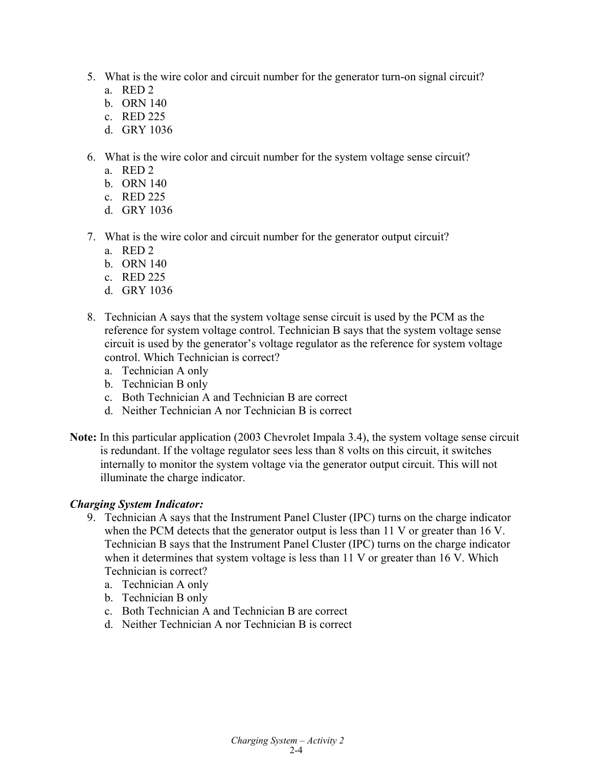- 5. What is the wire color and circuit number for the generator turn-on signal circuit? a. RED 2
	- b. ORN 140
	- c. RED 225
	- d. GRY 1036
- 6. What is the wire color and circuit number for the system voltage sense circuit?
	- a. RED 2
	- b. ORN 140
	- c. RED 225
	- d. GRY 1036
- 7. What is the wire color and circuit number for the generator output circuit?
	- a. RED 2
	- b. ORN 140
	- c. RED 225
	- d. GRY 1036
- 8. Technician A says that the system voltage sense circuit is used by the PCM as the reference for system voltage control. Technician B says that the system voltage sense circuit is used by the generator's voltage regulator as the reference for system voltage control. Which Technician is correct?
	- a. Technician A only
	- b. Technician B only
	- c. Both Technician A and Technician B are correct
	- d. Neither Technician A nor Technician B is correct
- **Note:** In this particular application (2003 Chevrolet Impala 3.4), the system voltage sense circuit is redundant. If the voltage regulator sees less than 8 volts on this circuit, it switches internally to monitor the system voltage via the generator output circuit. This will not illuminate the charge indicator.

#### *Charging System Indicator:*

- 9. Technician A says that the Instrument Panel Cluster (IPC) turns on the charge indicator when the PCM detects that the generator output is less than 11 V or greater than 16 V. Technician B says that the Instrument Panel Cluster (IPC) turns on the charge indicator when it determines that system voltage is less than 11 V or greater than 16 V. Which Technician is correct?
	- a. Technician A only
	- b. Technician B only
	- c. Both Technician A and Technician B are correct
	- d. Neither Technician A nor Technician B is correct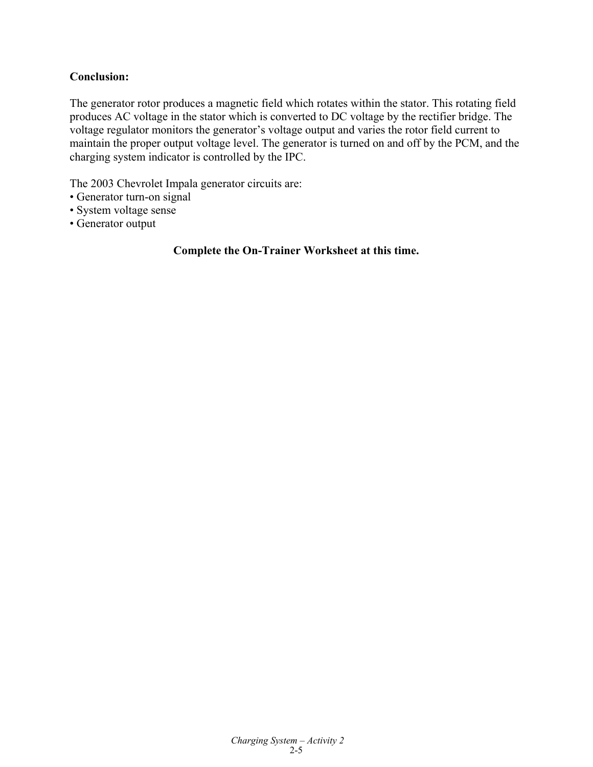### **Conclusion:**

The generator rotor produces a magnetic field which rotates within the stator. This rotating field produces AC voltage in the stator which is converted to DC voltage by the rectifier bridge. The voltage regulator monitors the generator's voltage output and varies the rotor field current to maintain the proper output voltage level. The generator is turned on and off by the PCM, and the charging system indicator is controlled by the IPC.

The 2003 Chevrolet Impala generator circuits are:

- Generator turn-on signal
- System voltage sense
- Generator output

#### **Complete the On-Trainer Worksheet at this time.**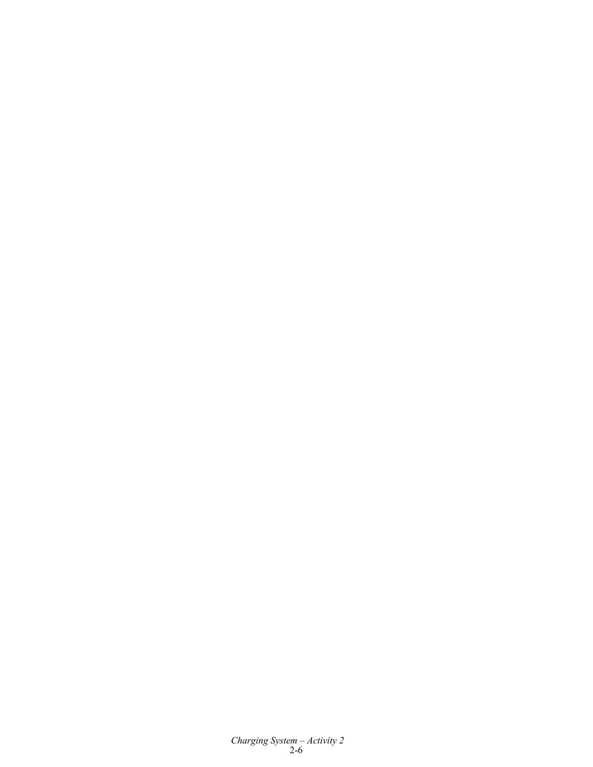#### *Charging System – Activity 2*  2-6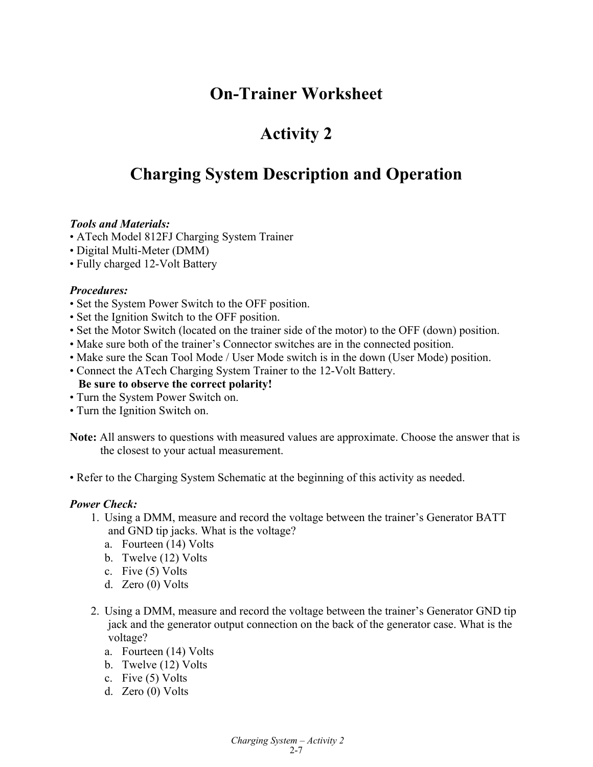## **On-Trainer Worksheet**

# **Activity 2**

# **Charging System Description and Operation**

### *Tools and Materials:*

- ATech Model 812FJ Charging System Trainer
- Digital Multi-Meter (DMM)
- Fully charged 12-Volt Battery

#### *Procedures:*

- Set the System Power Switch to the OFF position.
- Set the Ignition Switch to the OFF position.
- Set the Motor Switch (located on the trainer side of the motor) to the OFF (down) position.
- Make sure both of the trainer's Connector switches are in the connected position.
- Make sure the Scan Tool Mode / User Mode switch is in the down (User Mode) position.
- Connect the ATech Charging System Trainer to the 12-Volt Battery. **Be sure to observe the correct polarity!**
- Turn the System Power Switch on.
- Turn the Ignition Switch on.

**Note:** All answers to questions with measured values are approximate. Choose the answer that is the closest to your actual measurement.

• Refer to the Charging System Schematic at the beginning of this activity as needed.

#### *Power Check:*

- 1. Using a DMM, measure and record the voltage between the trainer's Generator BATT and GND tip jacks. What is the voltage?
	- a. Fourteen (14) Volts
	- b. Twelve (12) Volts
	- c. Five (5) Volts
	- d. Zero (0) Volts
- 2. Using a DMM, measure and record the voltage between the trainer's Generator GND tip jack and the generator output connection on the back of the generator case. What is the voltage?
	- a. Fourteen (14) Volts
	- b. Twelve (12) Volts
	- c. Five (5) Volts
	- d. Zero (0) Volts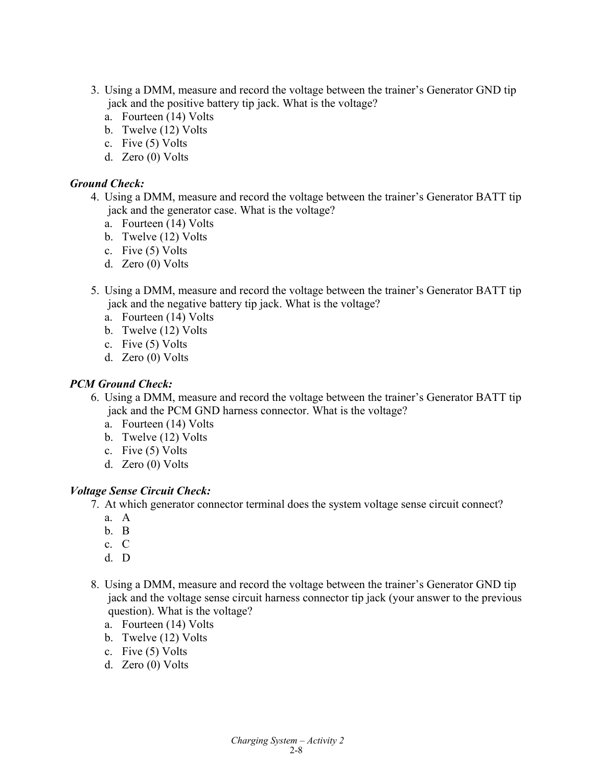- 3. Using a DMM, measure and record the voltage between the trainer's Generator GND tip jack and the positive battery tip jack. What is the voltage?
	- a. Fourteen (14) Volts
	- b. Twelve (12) Volts
	- c. Five (5) Volts
	- d. Zero (0) Volts

#### *Ground Check:*

- 4. Using a DMM, measure and record the voltage between the trainer's Generator BATT tip jack and the generator case. What is the voltage?
	- a. Fourteen (14) Volts
	- b. Twelve (12) Volts
	- c. Five (5) Volts
	- d. Zero (0) Volts
- 5. Using a DMM, measure and record the voltage between the trainer's Generator BATT tip jack and the negative battery tip jack. What is the voltage?
	- a. Fourteen (14) Volts
	- b. Twelve (12) Volts
	- c. Five (5) Volts
	- d. Zero (0) Volts

#### *PCM Ground Check:*

- 6. Using a DMM, measure and record the voltage between the trainer's Generator BATT tip jack and the PCM GND harness connector. What is the voltage?
	- a. Fourteen (14) Volts
	- b. Twelve (12) Volts
	- c. Five (5) Volts
	- d. Zero (0) Volts

#### *Voltage Sense Circuit Check:*

- 7. At which generator connector terminal does the system voltage sense circuit connect?
	- a. A
	- b. B
	- c. C
	- d. D
- 8. Using a DMM, measure and record the voltage between the trainer's Generator GND tip jack and the voltage sense circuit harness connector tip jack (your answer to the previous question). What is the voltage?
	- a. Fourteen (14) Volts
	- b. Twelve (12) Volts
	- c. Five (5) Volts
	- d. Zero (0) Volts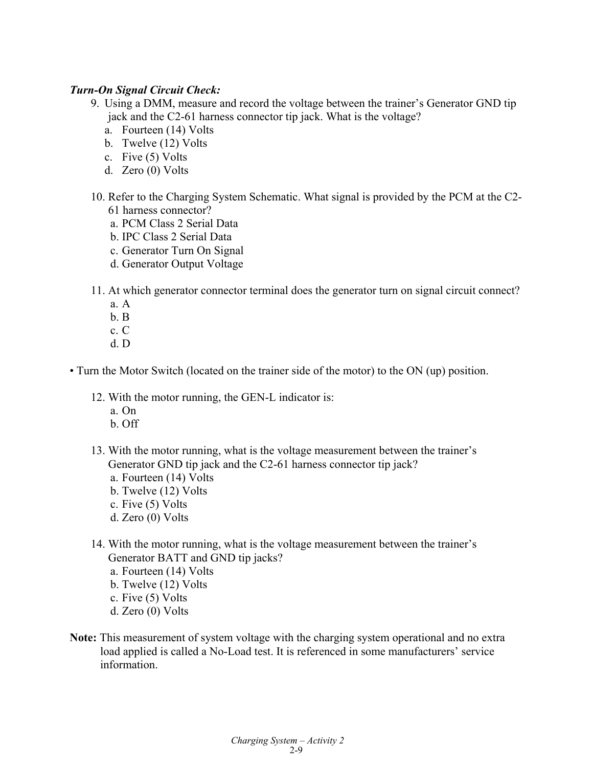#### *Turn-On Signal Circuit Check:*

- 9. Using a DMM, measure and record the voltage between the trainer's Generator GND tip jack and the C2-61 harness connector tip jack. What is the voltage?
	- a. Fourteen (14) Volts
	- b. Twelve (12) Volts
	- c. Five (5) Volts
	- d. Zero (0) Volts
- 10. Refer to the Charging System Schematic. What signal is provided by the PCM at the C2- 61 harness connector?
	- a. PCM Class 2 Serial Data
	- b. IPC Class 2 Serial Data
	- c. Generator Turn On Signal
	- d. Generator Output Voltage
- 11. At which generator connector terminal does the generator turn on signal circuit connect?
	- a. A
	- b. B
	- c. C
	- d. D
- Turn the Motor Switch (located on the trainer side of the motor) to the ON (up) position.
	- 12. With the motor running, the GEN-L indicator is:
		- a. On
		- b. Off
	- 13. With the motor running, what is the voltage measurement between the trainer's Generator GND tip jack and the C2-61 harness connector tip jack?
		- a. Fourteen (14) Volts
		- b. Twelve (12) Volts
		- c. Five (5) Volts
		- d. Zero (0) Volts
	- 14. With the motor running, what is the voltage measurement between the trainer's Generator BATT and GND tip jacks?
		- a. Fourteen (14) Volts
		- b. Twelve (12) Volts
		- c. Five (5) Volts
		- d. Zero (0) Volts
- **Note:** This measurement of system voltage with the charging system operational and no extra load applied is called a No-Load test. It is referenced in some manufacturers' service information.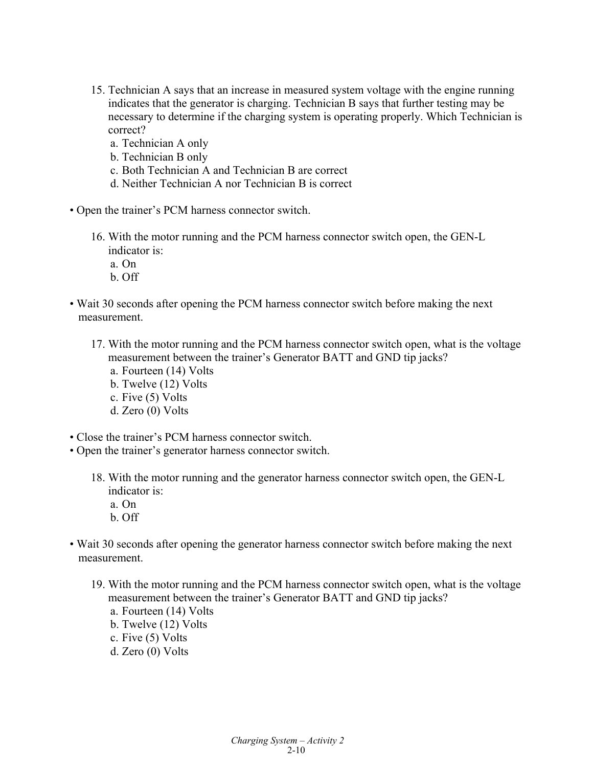- 15. Technician A says that an increase in measured system voltage with the engine running indicates that the generator is charging. Technician B says that further testing may be necessary to determine if the charging system is operating properly. Which Technician is correct?
	- a. Technician A only
	- b. Technician B only
	- c. Both Technician A and Technician B are correct
	- d. Neither Technician A nor Technician B is correct
- Open the trainer's PCM harness connector switch.
	- 16. With the motor running and the PCM harness connector switch open, the GEN-L indicator is:
		- a. On
		- b. Off
- Wait 30 seconds after opening the PCM harness connector switch before making the next measurement.
	- 17. With the motor running and the PCM harness connector switch open, what is the voltage measurement between the trainer's Generator BATT and GND tip jacks?
		- a. Fourteen (14) Volts
		- b. Twelve (12) Volts
		- c. Five (5) Volts
		- d. Zero (0) Volts
- Close the trainer's PCM harness connector switch.
- Open the trainer's generator harness connector switch.
	- 18. With the motor running and the generator harness connector switch open, the GEN-L indicator is:
		- a. On
		- b. Off
- Wait 30 seconds after opening the generator harness connector switch before making the next measurement.
	- 19. With the motor running and the PCM harness connector switch open, what is the voltage measurement between the trainer's Generator BATT and GND tip jacks?
		- a. Fourteen (14) Volts
		- b. Twelve (12) Volts
		- c. Five (5) Volts
		- d. Zero (0) Volts